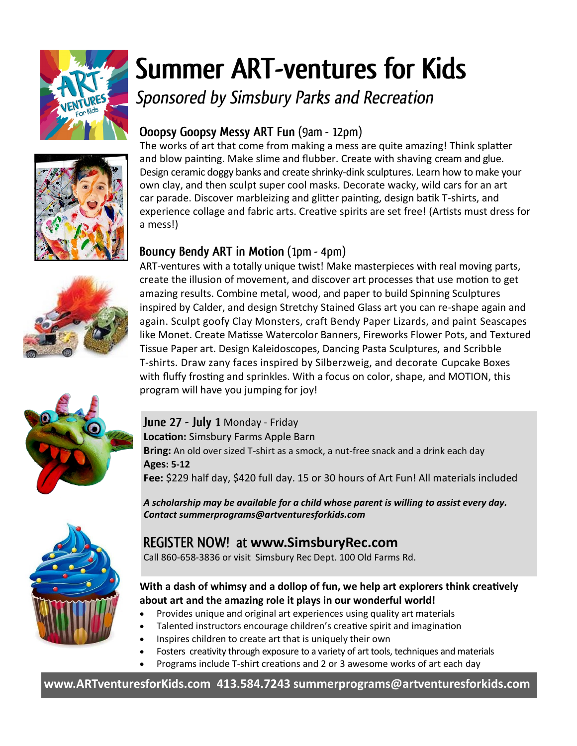

# **Summer ART-ventures for Kids**

Sponsored by Simsbury Parks and Recreation





# Ooopsy Goopsy Messy ART Fun (9am - 12pm)

The works of art that come from making a mess are quite amazing! Think splatter and blow painting. Make slime and flubber. Create with shaving cream and glue. Design ceramic doggy banks and create shrinky-dink sculptures. Learn how to make your own clay, and then sculpt super cool masks. Decorate wacky, wild cars for an art car parade. Discover marbleizing and glitter painting, design batik T-shirts, and experience collage and fabric arts. Creative spirits are set free! (Artists must dress for a mess!)

# Bouncy Bendy ART in Motion (1pm - 4pm)

ART-ventures with a totally unique twist! Make masterpieces with real moving parts, create the illusion of movement, and discover art processes that use motion to get amazing results. Combine metal, wood, and paper to build Spinning Sculptures inspired by Calder, and design Stretchy Stained Glass art you can re-shape again and again. Sculpt goofy Clay Monsters, craft Bendy Paper Lizards, and paint Seascapes like Monet. Create Matisse Watercolor Banners, Fireworks Flower Pots, and Textured Tissue Paper art. Design Kaleidoscopes, Dancing Pasta Sculptures, and Scribble T-shirts. Draw zany faces inspired by Silberzweig, and decorate Cupcake Boxes with fluffy frosting and sprinkles. With a focus on color, shape, and MOTION, this program will have you jumping for joy!

#### June 27 - July 1 Monday - Friday **Location:** Simsbury Farms Apple Barn **Bring:** An old over sized T-shirt as a smock, a nut-free snack and a drink each day **Ages: 5-12 Fee:** \$229 half day, \$420 full day. 15 or 30 hours of Art Fun! All materials included

*A scholarship may be available for a child whose parent is willing to assist every day. Contact summerprograms@artventuresforkids.com*

# **www.SimsburyRec.com**

Call 860-658-3836 or visit Simsbury Rec Dept. 100 Old Farms Rd.

#### **With a dash of whimsy and a dollop of fun, we help art explorers think creatively about art and the amazing role it plays in our wonderful world!**

- Provides unique and original art experiences using quality art materials
- Talented instructors encourage children's creative spirit and imagination
- Inspires children to create art that is uniquely their own
- Fosters creativity through exposure to a variety of art tools, techniques and materials
- Programs include T‐shirt creations and 2 or 3 awesome works of art each day

**www.ARTventuresforKids.com 413.584.7243 summerprograms@artventuresforkids.com**